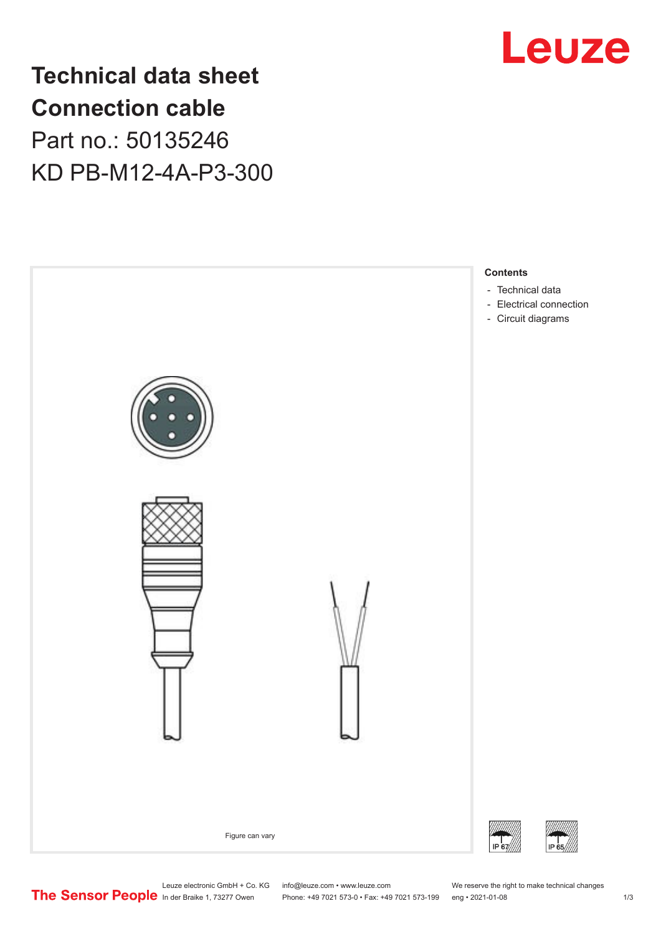

## **Technical data sheet Connection cable** Part no.: 50135246 KD PB-M12-4A-P3-300



Phone: +49 7021 573-0 • Fax: +49 7021 573-199 eng • 2021-01-08 1 2021

Leuze electronic GmbH + Co. KG info@leuze.com • www.leuze.com We reserve the right to make technical changes<br>
The Sensor People in der Braike 1, 73277 Owen Phone: +49 7021 573-0 • Fax: +49 7021 573-199 eng • 2021-01-08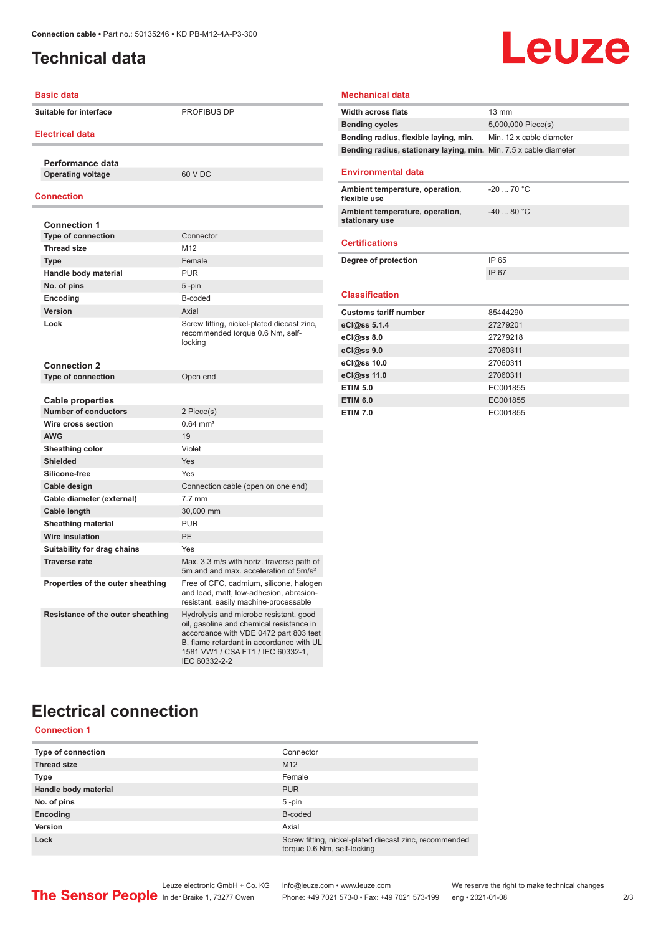### <span id="page-1-0"></span>**Technical data**

## **Leuze**

| <b>Basic data</b>                                |                                                                                                                                                                                                                                | <b>Mechanical data</b>                                             |
|--------------------------------------------------|--------------------------------------------------------------------------------------------------------------------------------------------------------------------------------------------------------------------------------|--------------------------------------------------------------------|
| Suitable for interface<br><b>Electrical data</b> | PROFIBUS DP                                                                                                                                                                                                                    | Width across flats<br><b>Bending cycles</b><br>Bending radius, fle |
|                                                  |                                                                                                                                                                                                                                | Bending radius, sta                                                |
| Performance data<br><b>Operating voltage</b>     | 60 V DC                                                                                                                                                                                                                        | <b>Environmental d</b>                                             |
| Connection                                       |                                                                                                                                                                                                                                | <b>Ambient temperatu</b><br>flexible use                           |
| <b>Connection 1</b>                              |                                                                                                                                                                                                                                | <b>Ambient temperatu</b><br>stationary use                         |
| <b>Type of connection</b>                        | Connector                                                                                                                                                                                                                      |                                                                    |
| <b>Thread size</b>                               | M <sub>12</sub>                                                                                                                                                                                                                | <b>Certifications</b>                                              |
| <b>Type</b>                                      | Female                                                                                                                                                                                                                         | Degree of protectio                                                |
| Handle body material                             | <b>PUR</b>                                                                                                                                                                                                                     |                                                                    |
| No. of pins                                      | $5 - pin$                                                                                                                                                                                                                      |                                                                    |
| Encoding                                         | B-coded                                                                                                                                                                                                                        | <b>Classification</b>                                              |
| Version                                          | Axial                                                                                                                                                                                                                          | <b>Customs tariff num</b>                                          |
| Lock                                             | Screw fitting, nickel-plated diecast zinc,<br>recommended torque 0.6 Nm, self-                                                                                                                                                 | eCl@ss 5.1.4                                                       |
|                                                  | locking                                                                                                                                                                                                                        | eCl@ss 8.0                                                         |
|                                                  |                                                                                                                                                                                                                                | eCl@ss 9.0                                                         |
| <b>Connection 2</b>                              |                                                                                                                                                                                                                                | eCl@ss 10.0                                                        |
| <b>Type of connection</b>                        | Open end                                                                                                                                                                                                                       | eCl@ss 11.0<br><b>ETIM 5.0</b>                                     |
|                                                  |                                                                                                                                                                                                                                | <b>ETIM 6.0</b>                                                    |
| Cable properties<br><b>Number of conductors</b>  | 2 Piece(s)                                                                                                                                                                                                                     | <b>ETIM 7.0</b>                                                    |
| Wire cross section                               | $0.64$ mm <sup>2</sup>                                                                                                                                                                                                         |                                                                    |
| <b>AWG</b>                                       | 19                                                                                                                                                                                                                             |                                                                    |
| Sheathing color                                  | Violet                                                                                                                                                                                                                         |                                                                    |
| <b>Shielded</b>                                  | Yes                                                                                                                                                                                                                            |                                                                    |
| Silicone-free                                    | Yes                                                                                                                                                                                                                            |                                                                    |
|                                                  |                                                                                                                                                                                                                                |                                                                    |
| Cable design                                     | Connection cable (open on one end)                                                                                                                                                                                             |                                                                    |
| Cable diameter (external)                        | $7.7 \text{ mm}$                                                                                                                                                                                                               |                                                                    |
| Cable length                                     | 30,000 mm                                                                                                                                                                                                                      |                                                                    |
| <b>Sheathing material</b>                        | <b>PUR</b><br><b>PE</b>                                                                                                                                                                                                        |                                                                    |
| Wire insulation                                  |                                                                                                                                                                                                                                |                                                                    |
| Suitability for drag chains                      | Yes                                                                                                                                                                                                                            |                                                                    |
| <b>Traverse rate</b>                             | Max. 3.3 m/s with horiz. traverse path of<br>5m and and max. acceleration of 5m/s <sup>2</sup>                                                                                                                                 |                                                                    |
| Properties of the outer sheathing                | Free of CFC, cadmium, silicone, halogen<br>and lead, matt, low-adhesion, abrasion-<br>resistant, easily machine-processable                                                                                                    |                                                                    |
| Resistance of the outer sheathing                | Hydrolysis and microbe resistant, good<br>oil, gasoline and chemical resistance in<br>accordance with VDE 0472 part 803 test<br>B, flame retardant in accordance with UL<br>1581 VW1 / CSA FT1 / IEC 60332-1,<br>IEC 60332-2-2 |                                                                    |

| <b>Width across flats</b>                                         | 13 mm                    |
|-------------------------------------------------------------------|--------------------------|
| <b>Bending cycles</b>                                             | 5,000,000 Piece(s)       |
| Bending radius, flexible laying, min.                             | Min. 12 x cable diameter |
| Bending radius, stationary laying, min. Min. 7.5 x cable diameter |                          |
| <b>Environmental data</b>                                         |                          |
| Ambient temperature, operation,<br>flexible use                   | $-20$ 70 °C              |
| Ambient temperature, operation,<br>stationary use                 | $-40$ 80 °C              |
| <b>Certifications</b>                                             |                          |
| Degree of protection                                              | IP 65                    |
|                                                                   | IP 67                    |
| <b>Classification</b>                                             |                          |
| <b>Customs tariff number</b>                                      | 85444290                 |
| eCl@ss 5.1.4                                                      | 27279201                 |
| eCl@ss 8.0                                                        | 27279218                 |
|                                                                   |                          |
| eCl@ss 9.0                                                        | 27060311                 |
| eCl@ss 10.0                                                       | 27060311                 |
| eCl@ss 11.0                                                       | 27060311                 |
| <b>ETIM 5.0</b>                                                   | EC001855                 |
| <b>ETIM 6.0</b>                                                   | EC001855                 |
| <b>ETIM 7.0</b>                                                   | EC001855                 |
|                                                                   |                          |
|                                                                   |                          |

#### **Electrical connection**

#### **Connection 1**

| Type of connection   | Connector                                                                             |
|----------------------|---------------------------------------------------------------------------------------|
| <b>Thread size</b>   | M <sub>12</sub>                                                                       |
| <b>Type</b>          | Female                                                                                |
| Handle body material | <b>PUR</b>                                                                            |
| No. of pins          | $5$ -pin                                                                              |
| Encoding             | B-coded                                                                               |
| Version              | Axial                                                                                 |
| Lock                 | Screw fitting, nickel-plated diecast zinc, recommended<br>torque 0.6 Nm, self-locking |

Leuze electronic GmbH + Co. KG info@leuze.com • www.leuze.com We reserve the right to make technical changes

ln der Braike 1, 73277 Owen Phone: +49 7021 573-0 • Fax: +49 7021 573-199 eng • 2021-01-08 2/3